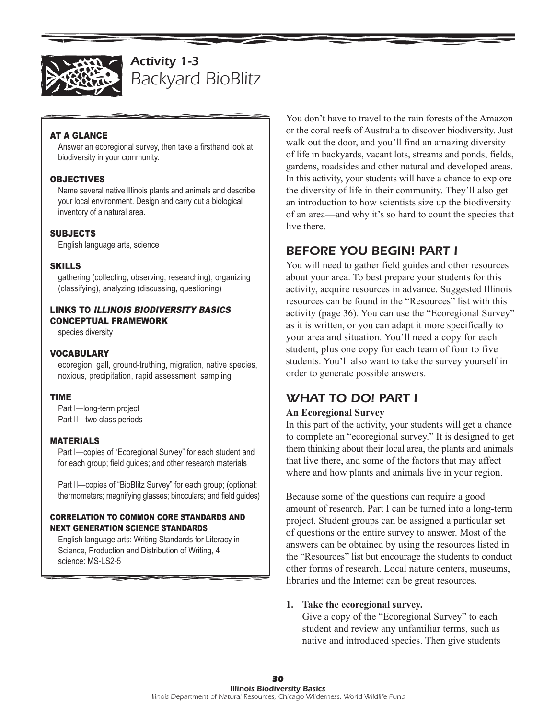

### *Activity 1-3* Backyard BioBlitz

#### AT A GLANCE

Answer an ecoregional survey, then take a firsthand look at biodiversity in your community.

#### **OBJECTIVES**

Name several native Illinois plants and animals and describe your local environment. Design and carry out a biological inventory of a natural area.

#### **SUBJECTS**

English language arts, science

#### SKILLS

gathering (collecting, observing, researching), organizing (classifying), analyzing (discussing, questioning)

### LINKS TO ILLINOIS BIODIVERSITY BASICS CONCEPTUAL FRAMEWORK

species diversity

#### VOCABULARY

ecoregion, gall, ground-truthing, migration, native species, noxious, precipitation, rapid assessment, sampling

#### TIME

Part I—long-term project Part II—two class periods

#### MATERIALS

Part I—copies of "Ecoregional Survey" for each student and for each group; field guides; and other research materials

Part II—copies of "BioBlitz Survey" for each group; (optional: thermometers; magnifying glasses; binoculars; and field guides)

#### CORRELATION TO COMMON CORE STANDARDS AND NEXT GENERATION SCIENCE STANDARDS

English language arts: Writing Standards for Literacy in Science, Production and Distribution of Writing, 4 science: MS-LS2-5

You don't have to travel to the rain forests of the Amazon or the coral reefs of Australia to discover biodiversity. Just walk out the door, and you'll find an amazing diversity of life in backyards, vacant lots, streams and ponds, fields, gardens, roadsides and other natural and developed areas. In this activity, your students will have a chance to explore the diversity of life in their community. They'll also get an introduction to how scientists size up the biodiversity of an area—and why it's so hard to count the species that live there.

### *BEFORE YOU BEGIN! PART I*

You will need to gather field guides and other resources about your area. To best prepare your students for this activity, acquire resources in advance. Suggested Illinois resources can be found in the "Resources" list with this activity (page 36). You can use the "Ecoregional Survey" as it is written, or you can adapt it more specifically to your area and situation. You'll need a copy for each student, plus one copy for each team of four to five students. You'll also want to take the survey yourself in order to generate possible answers.

### *WHAT TO DO! PART I*

### **An Ecoregional Survey**

In this part of the activity, your students will get a chance to complete an "ecoregional survey." It is designed to get them thinking about their local area, the plants and animals that live there, and some of the factors that may affect where and how plants and animals live in your region.

Because some of the questions can require a good amount of research, Part I can be turned into a long-term project. Student groups can be assigned a particular set of questions or the entire survey to answer. Most of the answers can be obtained by using the resources listed in the "Resources" list but encourage the students to conduct other forms of research. Local nature centers, museums, libraries and the Internet can be great resources.

### **1. Take the ecoregional survey.**

Give a copy of the "Ecoregional Survey" to each student and review any unfamiliar terms, such as native and introduced species. Then give students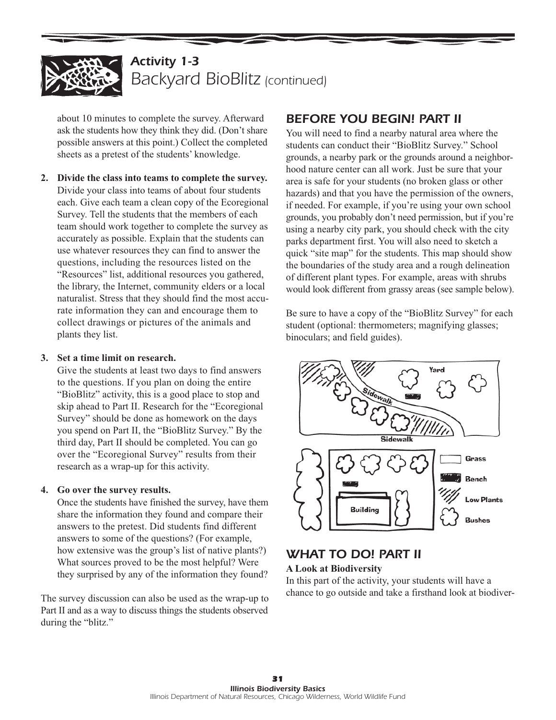

about 10 minutes to complete the survey. Afterward ask the students how they think they did. (Don't share possible answers at this point.) Collect the completed sheets as a pretest of the students' knowledge.

**2. Divide the class into teams to complete the survey.** Divide your class into teams of about four students each. Give each team a clean copy of the Ecoregional Survey. Tell the students that the members of each team should work together to complete the survey as accurately as possible. Explain that the students can use whatever resources they can find to answer the questions, including the resources listed on the "Resources" list, additional resources you gathered, the library, the Internet, community elders or a local naturalist. Stress that they should find the most accurate information they can and encourage them to collect drawings or pictures of the animals and plants they list.

#### **3. Set a time limit on research.**

Give the students at least two days to find answers to the questions. If you plan on doing the entire "BioBlitz" activity, this is a good place to stop and skip ahead to Part II. Research for the "Ecoregional Survey" should be done as homework on the days you spend on Part II, the "BioBlitz Survey." By the third day, Part II should be completed. You can go over the "Ecoregional Survey" results from their research as a wrap-up for this activity.

### **4. Go over the survey results.**

Once the students have finished the survey, have them share the information they found and compare their answers to the pretest. Did students find different answers to some of the questions? (For example, how extensive was the group's list of native plants?) What sources proved to be the most helpful? Were they surprised by any of the information they found?

The survey discussion can also be used as the wrap-up to Part II and as a way to discuss things the students observed during the "blitz."

### *BEFORE YOU BEGIN! PART II*

You will need to find a nearby natural area where the students can conduct their "BioBlitz Survey." School grounds, a nearby park or the grounds around a neighborhood nature center can all work. Just be sure that your area is safe for your students (no broken glass or other hazards) and that you have the permission of the owners, if needed. For example, if you're using your own school grounds, you probably don't need permission, but if you're using a nearby city park, you should check with the city parks department first. You will also need to sketch a quick "site map" for the students. This map should show the boundaries of the study area and a rough delineation of different plant types. For example, areas with shrubs would look different from grassy areas (see sample below).

Be sure to have a copy of the "BioBlitz Survey" for each student (optional: thermometers; magnifying glasses; binoculars; and field guides).



### *WHAT TO DO! PART II*

### **A Look at Biodiversity**

In this part of the activity, your students will have a chance to go outside and take a firsthand look at biodiver-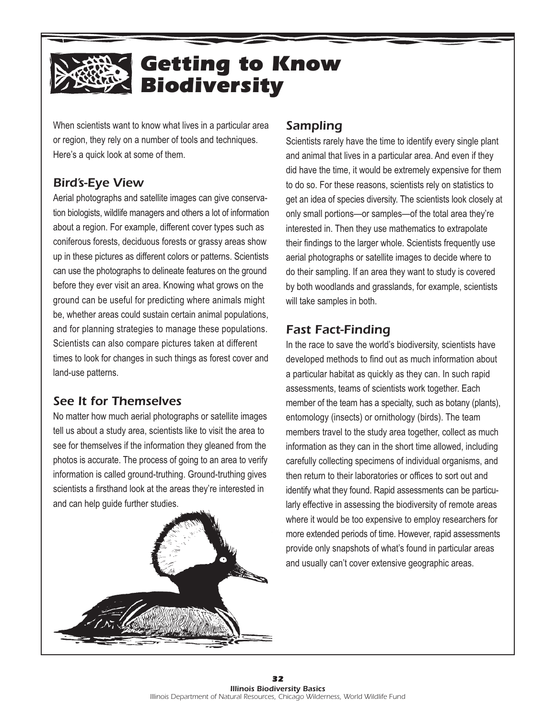## *Getting to Know Biodiversity*

When scientists want to know what lives in a particular area or region, they rely on a number of tools and techniques. Here's a quick look at some of them.

### *Bird's-Eye View*

Aerial photographs and satellite images can give conservation biologists, wildlife managers and others a lot of information about a region. For example, different cover types such as coniferous forests, deciduous forests or grassy areas show up in these pictures as different colors or patterns. Scientists can use the photographs to delineate features on the ground before they ever visit an area. Knowing what grows on the ground can be useful for predicting where animals might be, whether areas could sustain certain animal populations, and for planning strategies to manage these populations. Scientists can also compare pictures taken at different times to look for changes in such things as forest cover and land-use patterns.

### *See It for Themselves*

No matter how much aerial photographs or satellite images tell us about a study area, scientists like to visit the area to see for themselves if the information they gleaned from the photos is accurate. The process of going to an area to verify information is called ground-truthing. Ground-truthing gives scientists a firsthand look at the areas they're interested in and can help guide further studies.



### *Sampling*

Scientists rarely have the time to identify every single plant and animal that lives in a particular area. And even if they did have the time, it would be extremely expensive for them to do so. For these reasons, scientists rely on statistics to get an idea of species diversity. The scientists look closely at only small portions—or samples—of the total area they're interested in. Then they use mathematics to extrapolate their findings to the larger whole. Scientists frequently use aerial photographs or satellite images to decide where to do their sampling. If an area they want to study is covered by both woodlands and grasslands, for example, scientists will take samples in both.

### *Fast Fact-Finding*

In the race to save the world's biodiversity, scientists have developed methods to find out as much information about a particular habitat as quickly as they can. In such rapid assessments, teams of scientists work together. Each member of the team has a specialty, such as botany (plants), entomology (insects) or ornithology (birds). The team members travel to the study area together, collect as much information as they can in the short time allowed, including carefully collecting specimens of individual organisms, and then return to their laboratories or offices to sort out and identify what they found. Rapid assessments can be particularly effective in assessing the biodiversity of remote areas where it would be too expensive to employ researchers for more extended periods of time. However, rapid assessments provide only snapshots of what's found in particular areas and usually can't cover extensive geographic areas.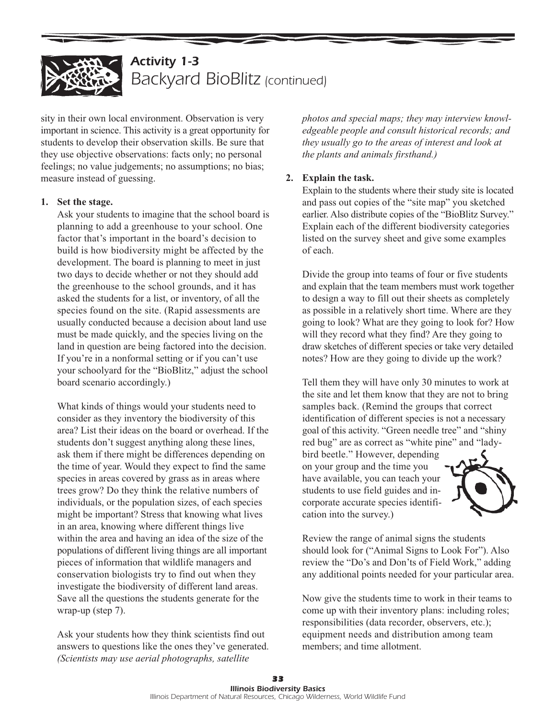

sity in their own local environment. Observation is very important in science. This activity is a great opportunity for students to develop their observation skills. Be sure that they use objective observations: facts only; no personal feelings; no value judgements; no assumptions; no bias; measure instead of guessing.

### **1. Set the stage.**

Ask your students to imagine that the school board is planning to add a greenhouse to your school. One factor that's important in the board's decision to build is how biodiversity might be affected by the development. The board is planning to meet in just two days to decide whether or not they should add the greenhouse to the school grounds, and it has asked the students for a list, or inventory, of all the species found on the site. (Rapid assessments are usually conducted because a decision about land use must be made quickly, and the species living on the land in question are being factored into the decision. If you're in a nonformal setting or if you can't use your schoolyard for the "BioBlitz," adjust the school board scenario accordingly.)

What kinds of things would your students need to consider as they inventory the biodiversity of this area? List their ideas on the board or overhead. If the students don't suggest anything along these lines, ask them if there might be differences depending on the time of year. Would they expect to find the same species in areas covered by grass as in areas where trees grow? Do they think the relative numbers of individuals, or the population sizes, of each species might be important? Stress that knowing what lives in an area, knowing where different things live within the area and having an idea of the size of the populations of different living things are all important pieces of information that wildlife managers and conservation biologists try to find out when they investigate the biodiversity of different land areas. Save all the questions the students generate for the wrap-up (step 7).

Ask your students how they think scientists find out answers to questions like the ones they've generated. *(Scientists may use aerial photographs, satellite*

*photos and special maps; they may interview knowledgeable people and consult historical records; and they usually go to the areas of interest and look at the plants and animals firsthand.)*

### **2. Explain the task.**

Explain to the students where their study site is located and pass out copies of the "site map" you sketched earlier. Also distribute copies of the "BioBlitz Survey." Explain each of the different biodiversity categories listed on the survey sheet and give some examples of each.

Divide the group into teams of four or five students and explain that the team members must work together to design a way to fill out their sheets as completely as possible in a relatively short time. Where are they going to look? What are they going to look for? How will they record what they find? Are they going to draw sketches of different species or take very detailed notes? How are they going to divide up the work?

Tell them they will have only 30 minutes to work at the site and let them know that they are not to bring samples back. (Remind the groups that correct identification of different species is not a necessary goal of this activity. "Green needle tree" and "shiny red bug" are as correct as "white pine" and "lady-

bird beetle." However, depending on your group and the time you have available, you can teach your students to use field guides and incorporate accurate species identification into the survey.)



Review the range of animal signs the students should look for ("Animal Signs to Look For"). Also review the "Do's and Don'ts of Field Work," adding any additional points needed for your particular area.

Now give the students time to work in their teams to come up with their inventory plans: including roles; responsibilities (data recorder, observers, etc.); equipment needs and distribution among team members; and time allotment.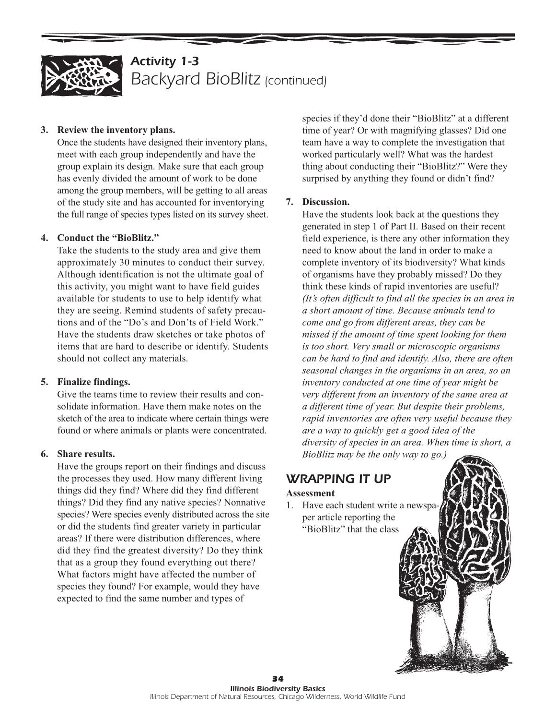

### **3. Review the inventory plans.**

Once the students have designed their inventory plans, meet with each group independently and have the group explain its design. Make sure that each group has evenly divided the amount of work to be done among the group members, will be getting to all areas of the study site and has accounted for inventorying the full range of species types listed on its survey sheet.

### **4. Conduct the "BioBlitz."**

Take the students to the study area and give them approximately 30 minutes to conduct their survey. Although identification is not the ultimate goal of this activity, you might want to have field guides available for students to use to help identify what they are seeing. Remind students of safety precautions and of the "Do's and Don'ts of Field Work." Have the students draw sketches or take photos of items that are hard to describe or identify. Students should not collect any materials.

### **5. Finalize findings.**

Give the teams time to review their results and consolidate information. Have them make notes on the sketch of the area to indicate where certain things were found or where animals or plants were concentrated.

### **6. Share results.**

Have the groups report on their findings and discuss the processes they used. How many different living things did they find? Where did they find different things? Did they find any native species? Nonnative species? Were species evenly distributed across the site or did the students find greater variety in particular areas? If there were distribution differences, where did they find the greatest diversity? Do they think that as a group they found everything out there? What factors might have affected the number of species they found? For example, would they have expected to find the same number and types of

species if they'd done their "BioBlitz" at a different time of year? Or with magnifying glasses? Did one team have a way to complete the investigation that worked particularly well? What was the hardest thing about conducting their "BioBlitz?" Were they surprised by anything they found or didn't find?

### **7. Discussion.**

Have the students look back at the questions they generated in step 1 of Part II. Based on their recent field experience, is there any other information they need to know about the land in order to make a complete inventory of its biodiversity? What kinds of organisms have they probably missed? Do they think these kinds of rapid inventories are useful? *(It's often difficult to find all the species in an area in a short amount of time. Because animals tend to come and go from different areas, they can be missed if the amount of time spent looking for them is too short. Very small or microscopic organisms can be hard to find and identify. Also, there are often seasonal changes in the organisms in an area, so an inventory conducted at one time of year might be very different from an inventory of the same area at a different time of year. But despite their problems, rapid inventories are often very useful because they are a way to quickly get a good idea of the diversity of species in an area. When time is short, a BioBlitz may be the only way to go.)*

### *WRAPPING IT UP*

### **Assessment**

1. Have each student write a newspaper article reporting the "BioBlitz" that the class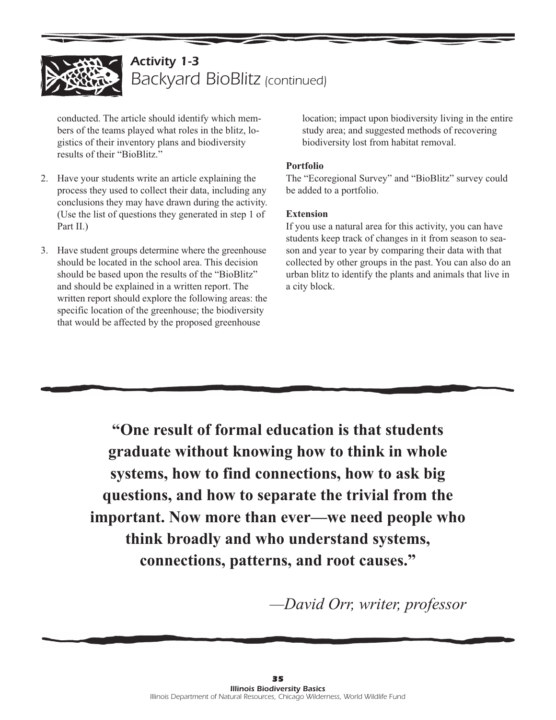

conducted. The article should identify which members of the teams played what roles in the blitz, logistics of their inventory plans and biodiversity results of their "BioBlitz."

- 2. Have your students write an article explaining the process they used to collect their data, including any conclusions they may have drawn during the activity. (Use the list of questions they generated in step 1 of Part II.)
- 3. Have student groups determine where the greenhouse should be located in the school area. This decision should be based upon the results of the "BioBlitz" and should be explained in a written report. The written report should explore the following areas: the specific location of the greenhouse; the biodiversity that would be affected by the proposed greenhouse

location; impact upon biodiversity living in the entire study area; and suggested methods of recovering biodiversity lost from habitat removal.

### **Portfolio**

The "Ecoregional Survey" and "BioBlitz" survey could be added to a portfolio.

### **Extension**

If you use a natural area for this activity, you can have students keep track of changes in it from season to season and year to year by comparing their data with that collected by other groups in the past. You can also do an urban blitz to identify the plants and animals that live in a city block.

**"One result of formal education is that students graduate without knowing how to think in whole systems, how to find connections, how to ask big questions, and how to separate the trivial from the important. Now more than ever—we need people who think broadly and who understand systems, connections, patterns, and root causes."**

*—David Orr, writer, professor*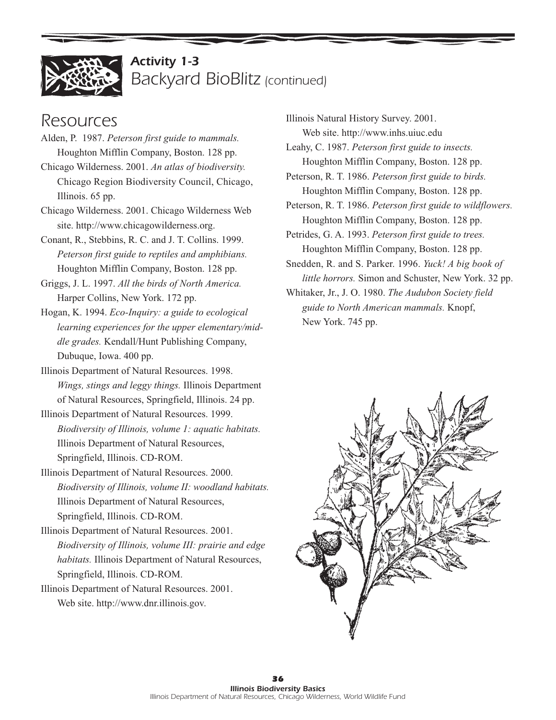

### Resources

- Alden, P. 1987. *Peterson first guide to mammals.* Houghton Mifflin Company, Boston. 128 pp.
- Chicago Wilderness. 2001. *An atlas of biodiversity.* Chicago Region Biodiversity Council, Chicago, Illinois. 65 pp.
- Chicago Wilderness. 2001. Chicago Wilderness Web site. http://www.chicagowilderness.org.
- Conant, R., Stebbins, R. C. and J. T. Collins. 1999. *Peterson first guide to reptiles and amphibians.* Houghton Mifflin Company, Boston. 128 pp.
- Griggs, J. L. 1997. *All the birds of North America.* Harper Collins, New York. 172 pp.
- Hogan, K. 1994. *Eco-Inquiry: a guide to ecological learning experiences for the upper elementary/middle grades.* Kendall/Hunt Publishing Company, Dubuque, Iowa. 400 pp.
- Illinois Department of Natural Resources. 1998. *Wings, stings and leggy things.* Illinois Department of Natural Resources, Springfield, Illinois. 24 pp.
- Illinois Department of Natural Resources. 1999. *Biodiversity of Illinois, volume 1: aquatic habitats.* Illinois Department of Natural Resources, Springfield, Illinois. CD-ROM.
- Illinois Department of Natural Resources. 2000. *Biodiversity of Illinois, volume II: woodland habitats.* Illinois Department of Natural Resources, Springfield, Illinois. CD-ROM.
- Illinois Department of Natural Resources. 2001. *Biodiversity of Illinois, volume III: prairie and edge habitats.* Illinois Department of Natural Resources, Springfield, Illinois. CD-ROM.
- Illinois Department of Natural Resources. 2001. Web site. http://www.dnr.illinois.gov.

Illinois Natural History Survey. 2001. Web site. http://www.inhs.uiuc.edu Leahy, C. 1987. *Peterson first guide to insects.* Houghton Mifflin Company, Boston. 128 pp. Peterson, R. T. 1986. *Peterson first guide to birds.* Houghton Mifflin Company, Boston. 128 pp. Peterson, R. T. 1986. *Peterson first guide to wildflowers.* Houghton Mifflin Company, Boston. 128 pp. Petrides, G. A. 1993. *Peterson first guide to trees.* Houghton Mifflin Company, Boston. 128 pp. Snedden, R. and S. Parker. 1996. *Yuck! A big book of little horrors.* Simon and Schuster, New York. 32 pp. Whitaker, Jr., J. O. 1980. *The Audubon Society field guide to North American mammals.* Knopf, New York. 745 pp.

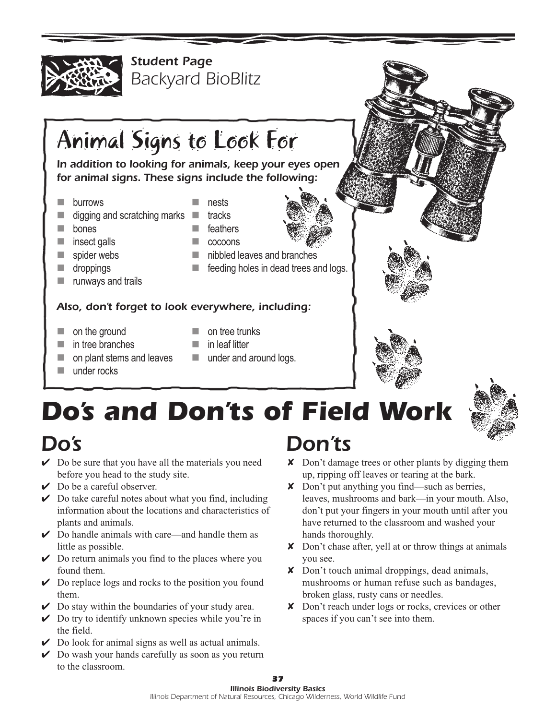

*Student Page* Backyard BioBlitz

# Animal Signs to Look For

*In addition to looking for animals, keep your eyes open for animal signs. These signs include the following:*

- **burrows nests**
- $\Box$  digging and scratching marks  $\Box$  tracks
- **bones feathers**
- insect galls cocoons
- 
- 
- $\blacksquare$  runways and trails
- 
- 
- 
- 
- spider webs **nibbled** leaves and branches
- **droppings feeding holes in dead trees and logs.**

### *Also, don't forget to look everywhere, including:*

- **n** on the ground **the ground on tree trunks**
- in tree branches in leaf litter
- $\Box$  on plant stems and leaves  $\Box$  under and around logs.
- under rocks
- 
- 
- 



# *Do's*

- $\vee$  Do be sure that you have all the materials you need before you head to the study site.
- $\vee$  Do be a careful observer.
- $\vee$  Do take careful notes about what you find, including information about the locations and characteristics of plants and animals.
- $\vee$  Do handle animals with care—and handle them as little as possible.
- $\vee$  Do return animals you find to the places where you found them.
- $\vee$  Do replace logs and rocks to the position you found them.
- $\triangleright$  Do stay within the boundaries of your study area.
- $\vee$  Do try to identify unknown species while you're in the field.
- $\triangleright$  Do look for animal signs as well as actual animals.
- Do wash your hands carefully as soon as you return to the classroom.

## *Don'ts*

- ✘ Don't damage trees or other plants by digging them up, ripping off leaves or tearing at the bark.
- ✘ Don't put anything you find—such as berries, leaves, mushrooms and bark—in your mouth. Also, don't put your fingers in your mouth until after you have returned to the classroom and washed your hands thoroughly.
- ✘ Don't chase after, yell at or throw things at animals you see.
- ✘ Don't touch animal droppings, dead animals, mushrooms or human refuse such as bandages, broken glass, rusty cans or needles.
- ✘ Don't reach under logs or rocks, crevices or other spaces if you can't see into them.
- *37*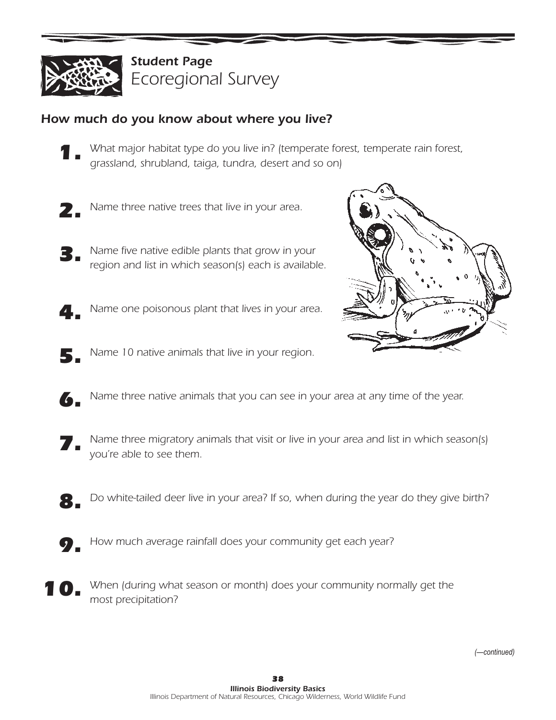

*Student Page* Ecoregional Survey

### *How much do you know about where you live?*

- *1.* What major habitat type do you live in? (temperate forest, temperate rain forest, grassland, shrubland, taiga, tundra, desert and so on)
	- *2.* Name three native trees that live in your area.
- *3.* Name five native edible plants that grow in your region and list in which season(s) each is available.
- *4.* Name one poisonous plant that lives in your area.



- *5.* Name 10 native animals that live in your region.
	- *6.* Name three native animals that you can see in your area at any time of the year.
- *7.* Name three migratory animals that visit or live in your area and list in which season(s) you're able to see them.
- *8.* Do white-tailed deer live in your area? If so, when during the year do they give birth?
- *9.*
	- How much average rainfall does your community get each year?
- *10.* When (during what season or month) does your community normally get the most precipitation?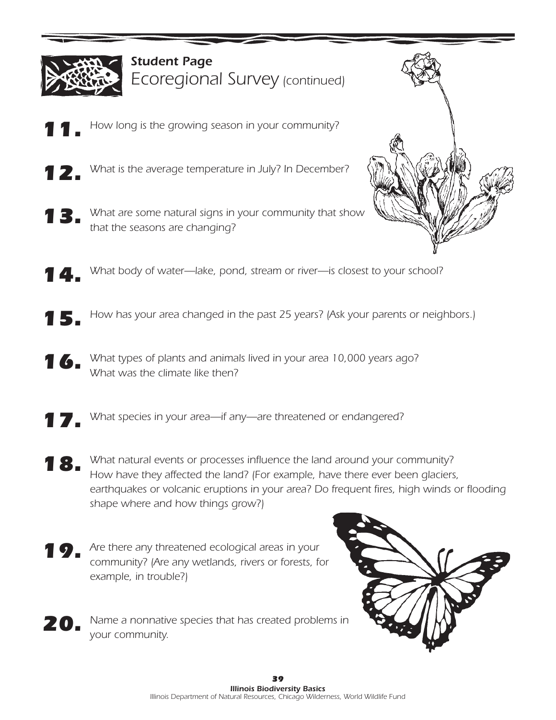

*Student Page* Ecoregional Survey (continued)

- *11.* How long is the growing season in your community?
- 
- *12.* What is the average temperature in July? In December?
- *13.*
	- What are some natural signs in your community that show that the seasons are changing?
- *14.* What body of water—lake, pond, stream or river—is closest to your school?
- *15.* How has your area changed in the past 25 years? (Ask your parents or neighbors.)
- **16.** What types of plants and animals lived in your area 10,000 years ago?<br>What was the climate like then? What was the climate like then?
- *17.* What species in your area—if any—are threatened or endangered?
- *18.* What natural events or processes influence the land around your community? How have they affected the land? (For example, have there ever been glaciers, earthquakes or volcanic eruptions in your area? Do frequent fires, high winds or flooding shape where and how things grow?)
- *19.* Are there any threatened ecological areas in your community? (Are any wetlands, rivers or forests, for example, in trouble?)
- *20.* Name a nonnative species that has created problems in your community.

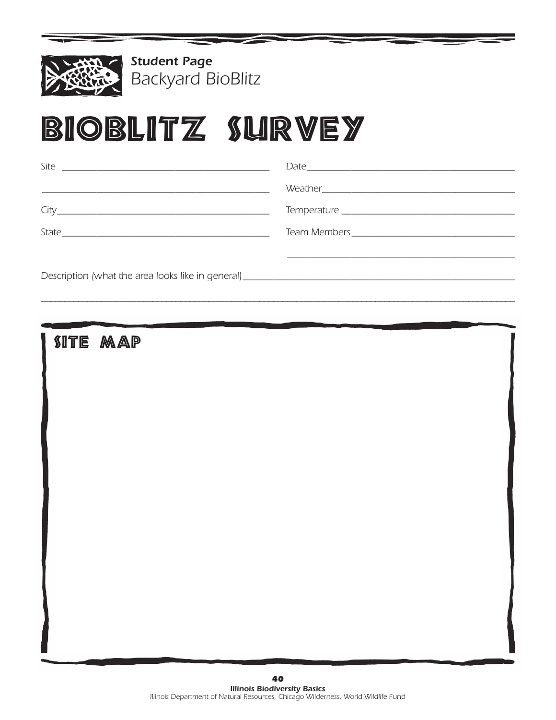

# BIOBLITZ SURVEY

\_\_\_\_\_\_\_\_\_\_\_\_\_\_\_\_\_\_\_\_\_\_\_\_\_\_\_\_\_\_\_\_\_\_\_\_\_\_\_\_\_\_\_\_\_\_\_\_\_\_\_\_\_\_\_\_\_\_\_\_\_\_\_\_\_\_\_\_\_\_\_\_\_\_\_\_\_\_\_\_\_\_\_\_\_\_\_\_\_\_\_\_\_\_\_\_\_\_\_\_\_\_

| I SITE MAP |  |
|------------|--|
|            |  |
|            |  |
|            |  |
|            |  |
|            |  |
|            |  |
|            |  |
|            |  |
|            |  |